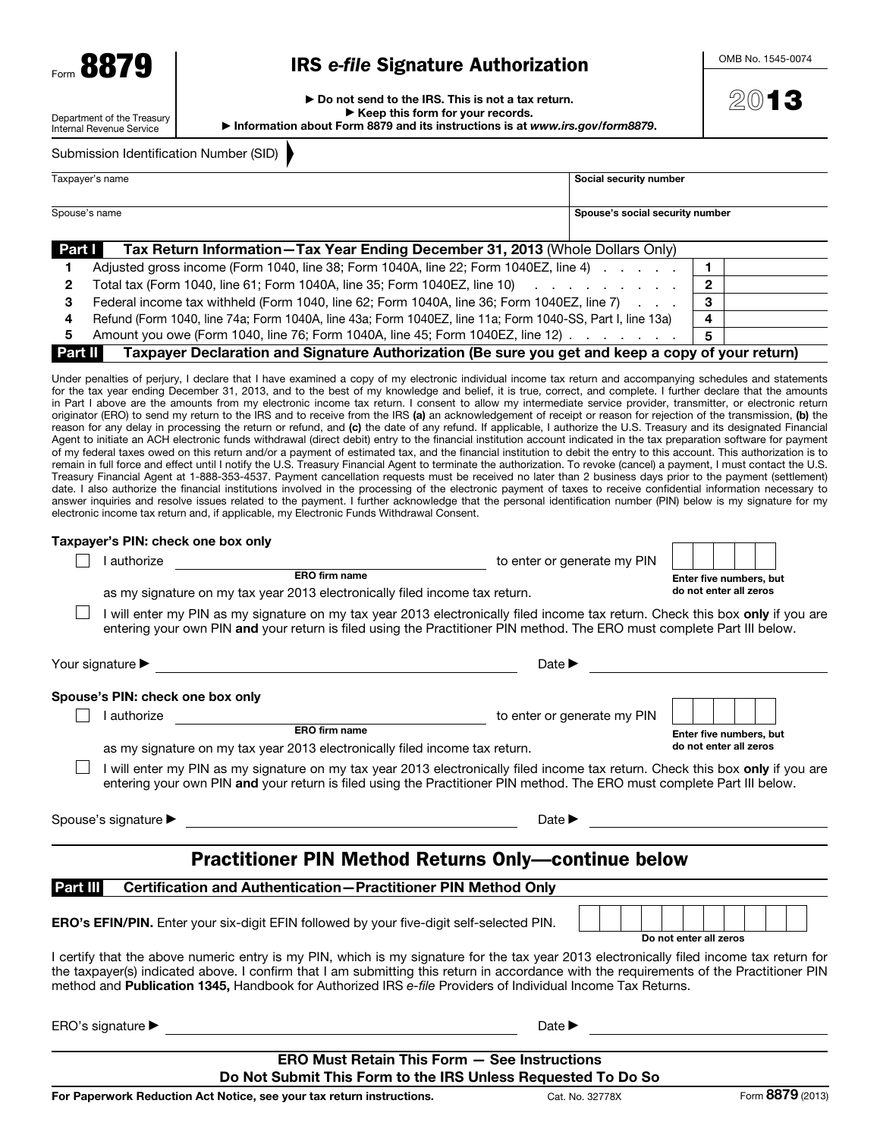# IRS *e-file* Signature Authorization

OMB No. 1545-0074

2013

Department of the Treasury Internal Revenue Service

▶ Do not send to the IRS. This is not a tax return. ▶ Keep this form for your records. ▶ Information about Form 8879 and its instructions is at *www.irs.gov/form8879*.

Submission Identification Number (SID)

|                                                                                | Taxpayer's name                                                                                                | Social security number          |  |  |
|--------------------------------------------------------------------------------|----------------------------------------------------------------------------------------------------------------|---------------------------------|--|--|
|                                                                                |                                                                                                                |                                 |  |  |
| Spouse's name                                                                  |                                                                                                                | Spouse's social security number |  |  |
|                                                                                |                                                                                                                |                                 |  |  |
| Part I                                                                         | Tax Return Information-Tax Year Ending December 31, 2013 (Whole Dollars Only)                                  |                                 |  |  |
|                                                                                | Adjusted gross income (Form 1040, line 38; Form 1040A, line 22; Form 1040EZ, line 4) And in the state of the N |                                 |  |  |
| Total tax (Form 1040, line 61; Form 1040A, line 35; Form 1040EZ, line 10)<br>2 |                                                                                                                |                                 |  |  |
|                                                                                |                                                                                                                |                                 |  |  |

4 Refund (Form 1040, line 74a; Form 1040A, line 43a; Form 1040EZ, line 11a; Form 1040-SS, Part I, line 13a) 4 5 Amount you owe (Form 1040, line 76; Form 1040A, line 45; Form 1040EZ, line 12)  $\ldots$  . . . . . 5

3 Federal income tax withheld (Form 1040, line 62; Form 1040A, line 36; Form 1040EZ, line 7)  $\ldots$  3

Part II Taxpayer Declaration and Signature Authorization (Be sure you get and keep a copy of your return)

Under penalties of perjury, I declare that I have examined a copy of my electronic individual income tax return and accompanying schedules and statements for the tax year ending December 31, 2013, and to the best of my knowledge and belief, it is true, correct, and complete. I further declare that the amounts in Part I above are the amounts from my electronic income tax return. I consent to allow my intermediate service provider, transmitter, or electronic return originator (ERO) to send my return to the IRS and to receive from the IRS (a) an acknowledgement of receipt or reason for rejection of the transmission, (b) the reason for any delay in processing the return or refund, and (c) the date of any refund. If applicable, I authorize the U.S. Treasury and its designated Financial Agent to initiate an ACH electronic funds withdrawal (direct debit) entry to the financial institution account indicated in the tax preparation software for payment of my federal taxes owed on this return and/or a payment of estimated tax, and the financial institution to debit the entry to this account. This authorization is to remain in full force and effect until I notify the U.S. Treasury Financial Agent to terminate the authorization. To revoke (cancel) a payment, I must contact the U.S. Treasury Financial Agent at 1-888-353-4537. Payment cancellation requests must be received no later than 2 business days prior to the payment (settlement) date. I also authorize the financial institutions involved in the processing of the electronic payment of taxes to receive confidential information necessary to answer inquiries and resolve issues related to the payment. I further acknowledge that the personal identification number (PIN) below is my signature for my electronic income tax return and, if applicable, my Electronic Funds Withdrawal Consent.

| Taxpayer's PIN: check one box only   |                                                                                                                                                                                                                                                                                                                                                                                                    |                             |                         |  |
|--------------------------------------|----------------------------------------------------------------------------------------------------------------------------------------------------------------------------------------------------------------------------------------------------------------------------------------------------------------------------------------------------------------------------------------------------|-----------------------------|-------------------------|--|
| I authorize                          |                                                                                                                                                                                                                                                                                                                                                                                                    | to enter or generate my PIN |                         |  |
|                                      | ERO firm name                                                                                                                                                                                                                                                                                                                                                                                      |                             | Enter five numbers, but |  |
|                                      | as my signature on my tax year 2013 electronically filed income tax return.                                                                                                                                                                                                                                                                                                                        |                             | do not enter all zeros  |  |
|                                      | I will enter my PIN as my signature on my tax year 2013 electronically filed income tax return. Check this box only if you are<br>entering your own PIN and your return is filed using the Practitioner PIN method. The ERO must complete Part III below.                                                                                                                                          |                             |                         |  |
| Your signature $\blacktriangleright$ | <u> 1980 - Johann John Stone, markin film yn y brening yn y brening yn y brening yn y brening y brening yn y bre</u>                                                                                                                                                                                                                                                                               | Date $\blacktriangleright$  |                         |  |
| Spouse's PIN: check one box only     |                                                                                                                                                                                                                                                                                                                                                                                                    |                             |                         |  |
| I authorize                          |                                                                                                                                                                                                                                                                                                                                                                                                    | to enter or generate my PIN |                         |  |
|                                      | ERO firm name                                                                                                                                                                                                                                                                                                                                                                                      |                             | Enter five numbers, but |  |
|                                      | as my signature on my tax year 2013 electronically filed income tax return.                                                                                                                                                                                                                                                                                                                        |                             | do not enter all zeros  |  |
|                                      | I will enter my PIN as my signature on my tax year 2013 electronically filed income tax return. Check this box only if you are<br>entering your own PIN and your return is filed using the Practitioner PIN method. The ERO must complete Part III below.                                                                                                                                          |                             |                         |  |
| Spouse's signature ▶                 | <u> 1989 - Johann Barn, mars eta bainar eta bainar eta baina eta baina eta baina eta baina eta baina eta baina e</u>                                                                                                                                                                                                                                                                               | Date $\blacktriangleright$  |                         |  |
|                                      | <b>Practitioner PIN Method Returns Only—continue below</b>                                                                                                                                                                                                                                                                                                                                         |                             |                         |  |
| <b>Part III</b>                      | Certification and Authentication-Practitioner PIN Method Only                                                                                                                                                                                                                                                                                                                                      |                             |                         |  |
|                                      | <b>ERO's EFIN/PIN.</b> Enter your six-digit EFIN followed by your five-digit self-selected PIN.                                                                                                                                                                                                                                                                                                    |                             | Do not enter all zeros  |  |
|                                      | I certify that the above numeric entry is my PIN, which is my signature for the tax year 2013 electronically filed income tax return for<br>the taxpayer(s) indicated above. I confirm that I am submitting this return in accordance with the requirements of the Practitioner PIN<br>method and Publication 1345, Handbook for Authorized IRS e-file Providers of Individual Income Tax Returns. |                             |                         |  |
| ERO's signature ▶                    | <u> 1980 - Jan Sterling av den større og det forskellige og det forskellige og det forskellige og det forskellige</u>                                                                                                                                                                                                                                                                              | Date $\blacktriangleright$  |                         |  |
|                                      | <b>ERO Must Retain This Form - See Instructions</b>                                                                                                                                                                                                                                                                                                                                                |                             |                         |  |

Do Not Submit This Form to the IRS Unless Requested To Do So